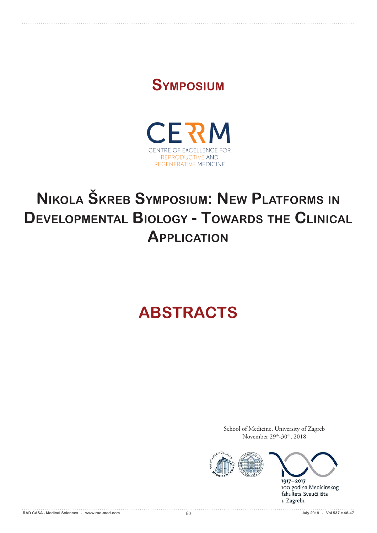## **Symposium**



# **Nikola Škreb Symposium: New Platforms in Developmental Biology - Towards the Clinical Application**

# **ABSTRACTS**

School of Medicine, University of Zagreb November 29<sup>th</sup>-30<sup>th</sup>, 2018





1917-2017 100 godina Medicinskog fakulteta Sveučilišta u Zagrebu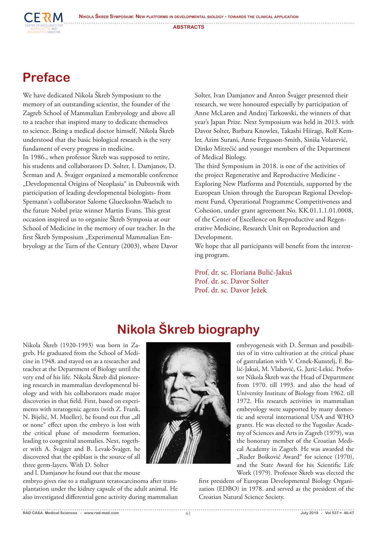**Nikola Škreb Symposium: New platforms in developmental biology - towards the clinical application**



**ABSTRACTS**

## **Preface**

We have dedicated Nikola Škreb Symposium to the memory of an outstanding scientist, the founder of the Zagreb School of Mammalian Embryology and above all to a teacher that inspired many to dedicate themselves to science. Being a medical doctor himself, Nikola Škreb understood that the basic biological research is the very fundament of every progress in medicine. In 1986., when professor Škreb was supposed to retire, his students and collaborators D. Solter, I. Damjanov, D. Šerman and A. Švajger organized a memorable conference "Developmental Origins of Neoplasia" in Dubrovnik with participation of leading developmental biologists- from Spemann's collaborator Salome Gluecksohn-Waelsch to the future Nobel prize winner Martin Evans. This great occasion inspired us to organize Škreb Symposia at our School of Medicine in the memory of our teacher. In the first Škreb Symposium "Experimental Mammalian Embryology at the Turn of the Century (2003), where Davor

Solter, Ivan Damjanov and Anton Švajger presented their research, we were honoured especially by participation of Anne McLaren and Andzej Tarkowski, the winners of that year's Japan Prize. Next Symposium was held in 2013. with Davor Solter, Barbara Knowles, Takashi Hiiragi, Rolf Kemler, Azim Surani, Anne Ferguson-Smith, Siniša Volarević, Dinko Mitrečić and younger members of the Department of Medical Biology.

The third Symposium in 2018. is one of the activities of the project Regenerative and Reproductive Medicine - Exploring New Platforms and Potentials, supported by the European Union through the European Regional Development Fund, Operational Programme Competitiveness and Cohesion, under grant agreement No. KK.01.1.1.01.0008, of the Center of Excellence on Reproductive and Regenerative Medicine, Research Unit on Reproduction and Development.

We hope that all participants will benefit from the interesting program.

Prof. dr. sc. Floriana Bulić-Jakuš Prof. dr. sc. Davor Solter Prof. dr. sc. Davor Ježek

## **Nikola Škreb biography**

Nikola Škreb (1920-1993) was born in Zagreb. He graduated from the School of Medicine in 1948. and stayed on as a researcher and teacher at the Department of Biology until the very end of his life. Nikola Škreb did pioneering research in mammalian developmental biology and with his collaborators made major discoveries in that field. First, based on experiments with teratogenic agents (with Z. Frank, N. Bijelić, M. Mueller), he found out that "all or none" effect upon the embryo is lost with the critical phase of mesoderm formation, leading to congenital anomalies. Next, together with A. Švajger and B. Levak-Švajger, he discovered that the epiblast is the source of all three germ-layers. With D. Solter

and I. Damjanov he found out that the mouse

embryo gives rise to a malignant teratocarcinoma after transplantation under the kidney capsule of the adult animal. He also investigated differential gene activity during mammalian



embryogenesis with D. Šerman and possibilities of in vitro cultivation at the critical phase of gastrulation with V. Crnek-Kunstelj, F. Bulić-Jakuš, M. Vlahović, G. Jurić-Lekić. Professor Nikola Škreb was the Head of Department from 1970. till 1993. and also the head of University Institute of Biology from 1962. till 1972. His research activities in mammalian embryology were supported by many domestic and several international USA and WHO grants. He was elected to the Yugoslav Academy of Sciences and Arts in Zagreb (1979), was the honorary member of the Croatian Medical Academy in Zagreb. He was awarded the "Ruđer Bošković Award" for science (1970), and the State Award for his Scientific Life Work (1979). Professor Škreb was elected the

first president of European Developmental Biology Organization (EDBO) in 1978. and served as the president of the Croatian Natural Science Society.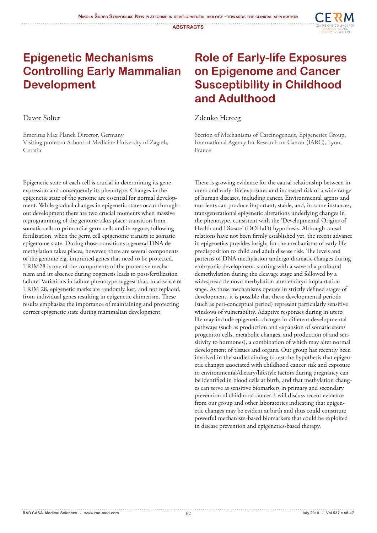

### **Epigenetic Mechanisms Controlling Early Mammalian Development**

Davor Solter

Emeritus Max Planck Director, Germany Visiting professor School of Medicine University of Zagreb, Croatia

Epigenetic state of each cell is crucial in determining its gene expression and consequently its phenotype. Changes in the epigenetic state of the genome are essential for normal development. While gradual changes in epigenetic states occur throughout development there are two crucial moments when massive reprogramming of the genome takes place: transition from somatic cells to primordial germ cells and in zygote, following fertilization, when the germ cell epigenome transits to somatic epigenome state. During those transitions a general DNA demethylation takes places, however, there are several components of the genome e.g. imprinted genes that need to be protected. TRIM28 is one of the components of the protective mechanism and its absence during oogenesis leads to post-fertilization failure. Variations in failure phenotype suggest that, in absence of TRIM 28, epigenetic marks are randomly lost, and not replaced, from individual genes resulting in epigenetic chimerism. These results emphasize the importance of maintaining and protecting correct epigenetic state during mammalian development.

### **Role of Early-life Exposures on Epigenome and Cancer Susceptibility in Childhood and Adulthood**

#### Zdenko Herceg

Section of Mechanisms of Carcinogenesis, Epigenetics Group, International Agency for Research on Cancer (IARC), Lyon, France

There is growing evidence for the causal relationship between in utero and early- life exposures and increased risk of a wide range of human diseases, including cancer. Environmental agents and nutrients can produce important, stable, and, in some instances, transgenerational epigenetic alterations underlying changes in the phenotype, consistent with the 'Developmental Origins of Health and Disease' (DOHaD) hypothesis. Although causal relations have not been firmly established yet, the recent advance in epigenetics provides insight for the mechanisms of early life predisposition to child and adult disease risk. The levels and patterns of DNA methylation undergo dramatic changes during embryonic development, starting with a wave of a profound demethylation during the cleavage stage and followed by a widespread de novo methylation after embryo implantation stage. As these mechanisms operate in strictly defined stages of development, it is possible that these developmental periods (such as peri-conceptual period) represent particularly sensitive windows of vulnerability. Adaptive responses during in utero life may include epigenetic changes in different developmental pathways (such as production and expansion of somatic stem/ progenitor cells, metabolic changes, and production of and sensitivity to hormones), a combination of which may alter normal development of tissues and organs. Our group has recently been involved in the studies aiming to test the hypothesis that epigenetic changes associated with childhood cancer risk and exposure to environmental/dietary/lifestyle factors during pregnancy can be identified in blood cells at birth, and that methylation changes can serve as sensitive biomarkers in primary and secondary prevention of childhood cancer. I will discuss recent evidence from our group and other laboratories indicating that epigenetic changes may be evident at birth and thus could constitute powerful mechanism-based biomarkers that could be exploited in disease prevention and epigenetics-based therapy.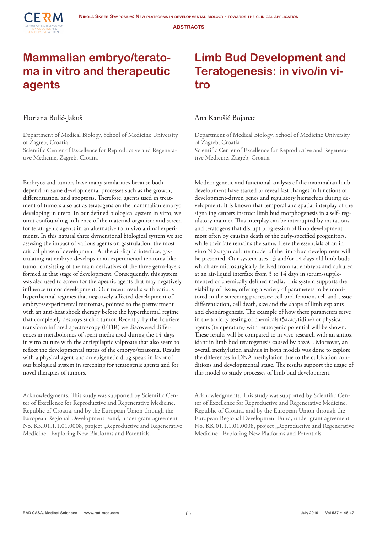

#### **Mammalian embryo/teratoma in vitro and therapeutic agents**

#### Floriana Bulić-Jakuš

Department of Medical Biology, School of Medicine University of Zagreb, Croatia

Scientific Center of Excellence for Reproductive and Regenerative Medicine, Zagreb, Croatia

Embryos and tumors have many similarities because both depend on same developmental processes such as the growth, differentiation, and apoptosis. Therefore, agents used in treatment of tumors also act as teratogens on the mammalian embryo developing in utero. In our defined biological system in vitro, we omit confounding influence of the maternal organism and screen for teratogenic agents in an alternative to in vivo animal experiments. In this natural three dymensional biological system we are assesing the impact of various agents on gastrulation, the most critical phase of development. At the air-liquid interface, gastrulating rat embryo develops in an experimental teratoma-like tumor consisting of the main derivatives of the three germ-layers formed at that stage of development. Consequently, this system was also used to screen for therapeutic agents that may negatively influence tumor development. Our recent results with various hyperthermal regimes that negatively affected development of embryos/experimental teratomas, pointed to the pretreatment with an anti-heat shock therapy before the hyperthermal regime that completely destroys such a tumor. Recently, by the Fouriere transform infrared spectroscopy (FTIR) we discovered differences in metabolomes of spent media used during the 14-days in vitro culture with the antiepileptic valproate that also seem to reflect the developmental status of the embryo/teratoma. Results with a physical agent and an epigenetic drug speak in favor of our biological system in screening for teratogenic agents and for novel therapies of tumors.

Acknowledgments: This study was supported by Scientific Center of Excellence for Reproductive and Regenerative Medicine, Republic of Croatia, and by the European Union through the European Regional Development Fund, under grant agreement No. KK.01.1.1.01.0008, project "Reproductive and Regenerative Medicine - Exploring New Platforms and Potentials.

### **Limb Bud Development and Teratogenesis: in vivo/in vitro**

#### Ana Katušić Bojanac

Department of Medical Biology, School of Medicine University of Zagreb, Croatia

Scientific Center of Excellence for Reproductive and Regenerative Medicine, Zagreb, Croatia

Modern genetic and functional analysis of the mammalian limb development have started to reveal fast changes in functions of development-driven genes and regulatory hierarchies during development. It is known that temporal and spatial interplay of the signaling centers instruct limb bud morphogenesis in a self- regulatory manner. This interplay can be interrupted by mutations and teratogens that disrupt progression of limb development most often by causing death of the early-specified progenitors, while their fate remains the same. Here the essentials of an in vitro 3D organ culture model of the limb bud development will be presented. Our system uses 13 and/or 14 days old limb buds which are microsurgically derived from rat embryos and cultured at an air-liquid interface from 3 to 14 days in serum-supplemented or chemically defined media. This system supports the viability of tissue, offering a variety of parameters to be monitored in the screening processes: cell proliferation, cell and tissue differentiation, cell death, size and the shape of limb explants and chondrogenesis. The example of how these parameters serve in the toxicity testing of chemicals (5azacytidine) or physical agents (temperature) with teratogenic potential will be shown. These results will be compared to in vivo research with an antioxidant in limb bud teratogenesis caused by 5azaC. Moreover, an overall methylation analysis in both models was done to explore the differences in DNA methylation due to the cultivation conditions and developmental stage. The results support the usage of this model to study processes of limb bud development.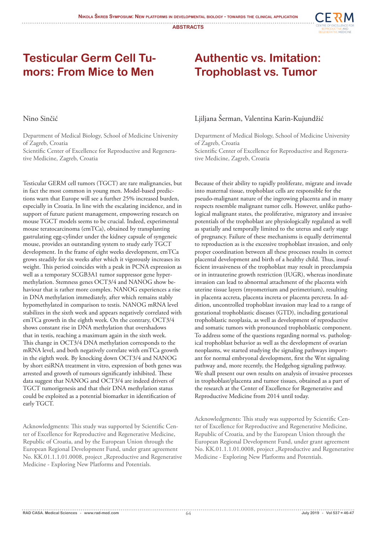

#### **Testicular Germ Cell Tumors: From Mice to Men**

#### **Authentic vs. Imitation: Trophoblast vs. Tumor**

#### Nino Sinčić

Department of Medical Biology, School of Medicine University of Zagreb, Croatia

Scientific Center of Excellence for Reproductive and Regenerative Medicine, Zagreb, Croatia

Testicular GERM cell tumors (TGCT) are rare malignancies, but in fact the most common in young men. Model-based predictions warn that Europe will see a further 25% increased burden, especially in Croatia. In line with the escalating incidence, and in support of future patient management, empowering research on mouse TGCT models seems to be crucial. Indeed, experimental mouse teratocarcinoma (emTCa), obtained by transplanting gastrulating egg-cylinder under the kidney capsule of syngeneic mouse, provides an outstanding system to study early TGCT development. In the frame of eight weeks development, emTCa grows steadily for six weeks after which it vigorously increases its weight. This period coincides with a peak in PCNA expression as well as a temporary SCGB3A1 tumor suppressor gene hypermethylation. Stemness genes OCT3/4 and NANOG show behaviour that is rather more complex. NANOG experiences a rise in DNA methylation immediately, after which remains stably hypomethylated in comparison to testis. NANOG mRNA level stabilizes in the sixth week and appears negatively correlated with emTCa growth in the eighth week. On the contrary, OCT3/4 shows constant rise in DNA methylation that overshadows that in testis, reaching a maximum again in the sixth week. This change in OCT3/4 DNA methylation corresponds to the mRNA level, and both negatively correlate with emTCa growth in the eighth week. By knocking down OCT3/4 and NANOG by short esiRNA treatment in vitro, expression of both genes was arrested and growth of tumours significantly inhibited. These data suggest that NANOG and OCT3/4 are indeed drivers of TGCT tumorigenesis and that their DNA methylation status could be exploited as a potential biomarker in identification of early TGCT.

Acknowledgments: This study was supported by Scientific Center of Excellence for Reproductive and Regenerative Medicine, Republic of Croatia, and by the European Union through the European Regional Development Fund, under grant agreement No. KK.01.1.1.01.0008, project "Reproductive and Regenerative Medicine - Exploring New Platforms and Potentials.

#### Ljiljana Šerman, Valentina Karin-Kujundžić

Department of Medical Biology, School of Medicine University of Zagreb, Croatia Scientific Center of Excellence for Reproductive and Regenerative Medicine, Zagreb, Croatia

Because of their ability to rapidly proliferate, migrate and invade into maternal tissue, trophoblast cells are responsible for the pseudo-malignant nature of the ingrowing placenta and in many respects resemble malignant tumor cells. However, unlike pathological malignant states, the proliferative, migratory and invasive potentials of the trophoblast are physiologically regulated as well as spatially and temporally limited to the uterus and early stage of pregnancy. Failure of these mechanisms is equally detrimental to reproduction as is the excessive trophoblast invasion, and only proper coordination between all these processes results in correct placental development and birth of a healthy child. Thus, insufficient invasiveness of the trophoblast may result in preeclampsia or in intrauterine growth restriction (IUGR), whereas inordinate invasion can lead to abnormal attachment of the placenta with uterine tissue layers (myometrium and perimetrium), resulting in placenta accreta, placenta increta or placenta percreta. In addition, uncontrolled trophoblast invasion may lead to a range of gestational trophoblastic diseases (GTD), including gestational trophoblastic neoplasia, as well as development of reproductive and somatic tumors with pronounced trophoblastic component. To address some of the questions regarding normal vs. pathological trophoblast behavior as well as the development of ovarian neoplasms, we started studying the signaling pathways important for normal embryonal development, first the Wnt signaling pathway and, more recently, the Hedgehog signaling pathway. We shall present our own results on analysis of invasive processes in trophoblast/placenta and tumor tissues, obtained as a part of the research at the Center of Excellence for Regenerative and Reproductive Medicine from 2014 until today.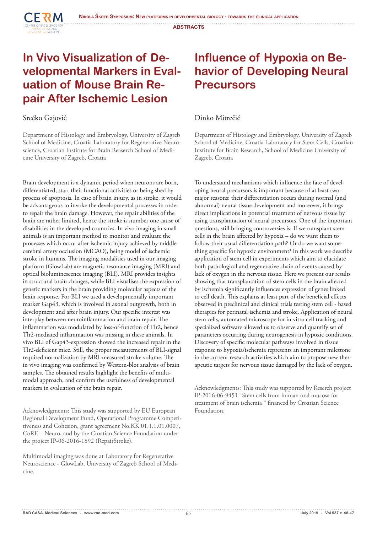### **In Vivo Visualization of Developmental Markers in Evaluation of Mouse Brain Repair After Ischemic Lesion**

#### Srećko Gajović

**CERM** 

Department of Histology and Embryology, University of Zagreb School of Medicine, Croatia Laboratory for Regenerative Neuroscience, Croatian Institute for Brain Reaserch School of Medicine University of Zagreb, Croatia

Brain development is a dynamic period when neurons are born, differentiated, start their functional activities or being shed by process of apoptosis. In case of brain injury, as in stroke, it would be advantageous to invoke the developmental processes in order to repair the brain damage. However, the repair abilities of the brain are rather limited, hence the stroke is number one cause of disabilities in the developed countries. In vivo imaging in small animals is an important method to monitor and evaluate the processes which occur after ischemic injury achieved by middle cerebral artery occlusion (MCAO), being model of ischemic stroke in humans. The imaging modalities used in our imaging platform (GlowLab) are magnetic resonance imaging (MRI) and optical bioluminescence imaging (BLI). MRI provides insights in structural brain changes, while BLI visualises the expression of genetic markers in the brain providing molecular aspects of the brain response. For BLI we used a developmentally important marker Gap43, which is involved in axonal outgrowth, both in development and after brain injury. Our specific interest was interplay between neuroinflammation and brain repair. The inflammation was modulated by loss-of-function of Tlr2, hence Tlr2-mediated inflammation was missing in these animals. In vivo BLI of Gap43-expression showed the increased repair in the Tlr2-deficient mice. Still, the proper measurements of BLI-signal required normalization by MRI-measured stroke volume. The in vivo imaging was confirmed by Western-blot analysis of brain samples. The obtained results highlight the benefits of multimodal approach, and confirm the usefulness of developmental markers in evaluation of the brain repair.

Acknowledgments: This study was supported by EU European Regional Development Fund, Operational Programme Competitiveness and Cohesion, grant agreement No.KK.01.1.1.01.0007, CoRE – Neuro, and by the Croatian Science Foundation under the project IP-06-2016-1892 (RepairStroke).

Multimodal imaging was done at Laboratory for Regenerative Neuroscience - GlowLab, University of Zagreb School of Medicine.

### **Influence of Hypoxia on Behavior of Developing Neural Precursors**

#### Dinko Mitrečić

Department of Histology and Embryology, University of Zagreb School of Medicine, Croatia Laboratory for Stem Cells, Croatian Institute for Brain Research, School of Medicine University of Zagreb, Croatia

To understand mechanisms which influence the fate of developing neural precursors is important because of at least two major reasons: their differentiation occurs during normal (and abnormal) neural tissue development and moreover, it brings direct implications in potential treatment of nervous tissue by using transplantation of neural precursors. One of the important questions, still bringing controversies is: If we transplant stem cells in the brain affected by hypoxia – do we want them to follow their usual differentiation path? Or do we want something specific for hypoxic environment? In this work we describe application of stem cell in experiments which aim to elucidate both pathological and regenerative chain of events caused by lack of oxygen in the nervous tissue. Here we present our results showing that transplantation of stem cells in the brain affected by ischemia significantly influences expression of genes linked to cell death. This explains at least part of the beneficial effects observed in preclinical and clinical trials testing stem cell - based therapies for perinatal ischemia and stroke. Application of neural stem cells, automated microscope for in vitro cell tracking and specialized software allowed us to observe and quantify set of parameters occurring during neurogenesis in hypoxic conditions. Discovery of specific molecular pathways involved in tissue response to hypoxia/ischemia represents an important milestone in the current research activities which aim to propose new therapeutic targets for nervous tissue damaged by the lack of oxygen.

Acknowledgments: This study was supported by Reserch project IP-2016-06-9451 "Stem cells from human oral mucosa for treatment of brain ischemia " financed by Croatian Science Foundation.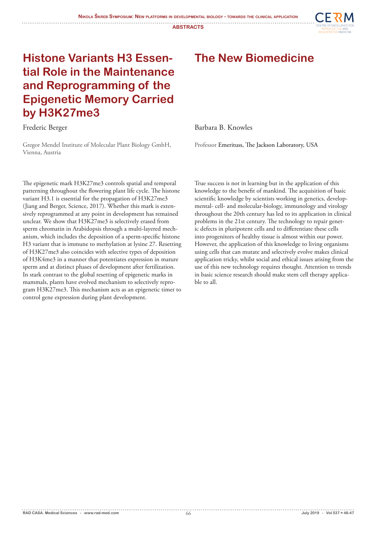

### **Histone Variants H3 Essential Role in the Maintenance and Reprogramming of the Epigenetic Memory Carried by H3K27me3**

Frederic Berger

Gregor Mendel Institute of Molecular Plant Biology GmbH, Vienna, Austria

The epigenetic mark H3K27me3 controls spatial and temporal patterning throughout the flowering plant life cycle. The histone variant H3.1 is essential for the propagation of H3K27me3 (Jiang and Berger, Science, 2017). Whether this mark is extensively reprogrammed at any point in development has remained unclear. We show that H3K27me3 is selectively erased from sperm chromatin in Arabidopsis through a multi-layered mechanism, which includes the deposition of a sperm-specific histone H3 variant that is immune to methylation at lysine 27. Resetting of H3K27me3 also coincides with selective types of deposition of H3K4me3 in a manner that potentiates expression in mature sperm and at distinct phases of development after fertilization. In stark contrast to the global resetting of epigenetic marks in mammals, plants have evolved mechanism to selectively reprogram H3K27me3. This mechanism acts as an epigenetic timer to control gene expression during plant development.

**The New Biomedicine**

Barbara B. Knowles

Professor Emerituss, The Jackson Laboratory, USA

True success is not in learning but in the application of this knowledge to the benefit of mankind. The acquisition of basic scientific knowledge by scientists working in genetics, developmental- cell- and molecular-biology, immunology and virology throughout the 20th century has led to its application in clinical problems in the 21st century. The technology to repair genetic defects in pluripotent cells and to differentiate these cells into progenitors of healthy tissue is almost within our power. However, the application of this knowledge to living organisms using cells that can mutate and selectively evolve makes clinical application tricky, whilst social and ethical issues arising from the use of this new technology requires thought. Attention to trends in basic science research should make stem cell therapy applicable to all.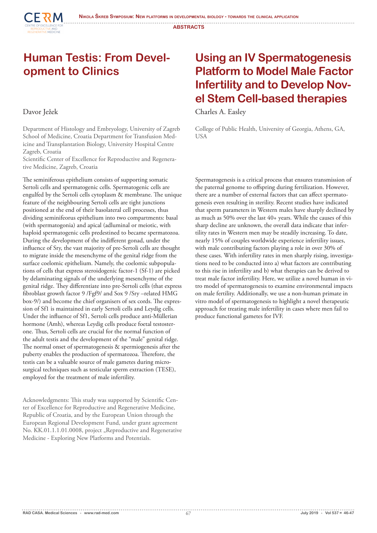#### **Human Testis: From Development to Clinics**

#### Davor Ježek

**CERM** 

**RUDUCTIVE AIND<br>NEDATIVE MEDICINE** 

Department of Histology and Embryology, University of Zagreb School of Medicine, Croatia Department for Transfusion Medicine and Transplantation Biology, University Hospital Centre Zagreb, Croatia

Scientific Center of Excellence for Reproductive and Regenerative Medicine, Zagreb, Croatia

The seminiferous epithelium consists of supporting somatic Sertoli cells and spermatogenic cells. Spermatogenic cells are engulfed by the Sertoli cells cytoplasm & membrane. The unique feature of the neighbouring Sertoli cells are tight junctions positioned at the end of their basolateral cell processes, thus dividing seminifeorus epithelium into two compartments: basal (with spermatogonia) and apical (adluminal or meiotic, with haploid spermatogenic cells predestined to became spermatozoa. During the development of the indifferent gonad, under the influence of Sry, the vast majority of pre-Sertoli cells are thought to migrate inside the mesenchyme of the genital ridge from the surface coelomic epithelium. Namely, the coelomic subpopulations of cells that express steroidogenic factor-1 (Sf-1) are picked by delaminating signals of the underlying mesenchyme of the genital ridge. They differentiate into pre-Sertoli cells (that express fibroblast growth factor 9 /Fgf9/ and Sox 9 /Sry –related HMG box-9/) and become the chief organisers of sex cords. The expression of Sf1 is maintained in early Sertoli cells and Leydig cells. Under the influence of Sf1, Sertoli cells produce anti-Müllerian hormone (Amh), whereas Leydig cells produce foetal testosterone. Thus, Sertoli cells are crucial for the normal function of the adult testis and the development of the "male" genital ridge. The normal onset of spermatogenesis & spermiogenesis after the puberty enables the production of spermatozoa. Therefore, the testis can be a valuable source of male gametes during microsurgical techniques such as testicular sperm extraction (TESE), employed for the treatment of male infertility.

Acknowledgments: This study was supported by Scientific Center of Excellence for Reproductive and Regenerative Medicine, Republic of Croatia, and by the European Union through the European Regional Development Fund, under grant agreement No. KK.01.1.1.01.0008, project "Reproductive and Regenerative Medicine - Exploring New Platforms and Potentials.

### **Using an IV Spermatogenesis Platform to Model Male Factor Infertility and to Develop Novel Stem Cell-based therapies**

Charles A. Easley

College of Public Health, University of Georgia, Athens, GA, USA

Spermatogenesis is a critical process that ensures transmission of the paternal genome to offspring during fertilization. However, there are a number of external factors that can affect spermatogenesis even resulting in sterility. Recent studies have indicated that sperm parameters in Western males have sharply declined by as much as 50% over the last 40+ years. While the causes of this sharp decline are unknown, the overall data indicate that infertility rates in Western men may be steadily increasing. To date, nearly 15% of couples worldwide experience infertility issues, with male contributing factors playing a role in over 30% of these cases. With infertility rates in men sharply rising, investigations need to be conducted into a) what factors are contributing to this rise in infertility and b) what therapies can be derived to treat male factor infertility. Here, we utilize a novel human in vitro model of spermatogenesis to examine environmental impacts on male fertility. Additionally, we use a non-human primate in vitro model of spermatogenesis to highlight a novel therapeutic approach for treating male infertility in cases where men fail to produce functional gametes for IVF.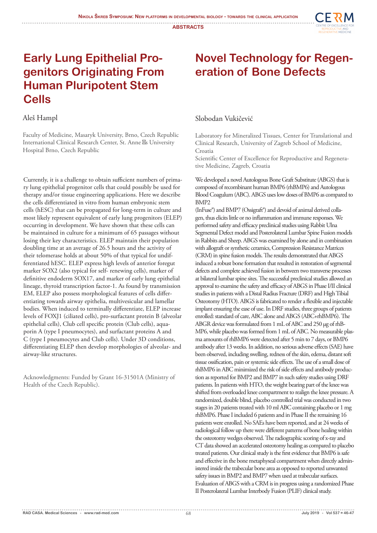

### **Early Lung Epithelial Progenitors Originating From Human Pluripotent Stem Cells**

#### Aleš Hampl

Faculty of Medicine, Masaryk University, Brno, Czech Republic International Clinical Research Center, St. Anne ́s University Hospital Brno, Czech Republic

Currently, it is a challenge to obtain sufficient numbers of primary lung epithelial progenitor cells that could possibly be used for therapy and/or tissue engineering applications. Here we describe the cells differentiated in vitro from human embryonic stem cells (hESC) that can be propagated for long-term in culture and most likely represent equivalent of early lung progenitors (ELEP) occurring in development. We have shown that these cells can be maintained in culture for a minimum of 65 passages without losing their key characteristics. ELEP maintain their population doubling time at an average of 26.5 hours and the activity of their telomerase holds at about 50% of that typical for undifferentiated hESC. ELEP express high levels of anterior foregut marker SOX2 (also typical for self- renewing cells), marker of definitive endoderm SOX17, and marker of early lung epithelial lineage, thyroid transcription factor-1. As found by transmission EM, ELEP also possess morphological features of cells differentiating towards airway epithelia, multivesicular and lamellar bodies. When induced to terminally differentiate, ELEP increase levels of FOXJ1 (ciliated cells), pro-surfactant protein B (alveolar epithelial cells), Club cell specific protein (Club cells), aquaporin A (type I pneumocytes), and surfactant proteins A and C (type I pneumocytes and Club cells). Under 3D conditions, differentiating ELEP then develop morphologies of alveolar- and airway-like structures.

Acknowledgments: Funded by Grant 16-31501A (Ministry of Health of the Czech Republic).

### **Novel Technology for Regeneration of Bone Defects**

#### Slobodan Vukičević

Laboratory for Mineralized Tissues, Center for Translational and Clinical Research, University of Zagreb School of Medicine, Croatia

Scientific Center of Excellence for Reproductive and Regenerative Medicine, Zagreb, Croatia

We developed a novel Autologous Bone Graft Substitute (ABGS) that is composed of recombinant human BMP6 (rhBMP6) and Autologous Blood Coagulum (ABC). ABGS uses low doses of BMP6 as compared to BMP2

(InFuse®) and BMP7 (Ossigraft®) and devoid of animal derived collagen, thus elicits little or no inflammation and immune responses. We performed safety and efficacy preclinical studies using Rabbit Ulna Segmental Defect model and Posterolateral Lumbar Spine Fusion models in Rabbits and Sheep. ABGS was examined by alone and in combination with allograft or synthetic ceramics, Compression Resistance Matrices (CRM) in spine fusion models. The results demonstrated that ABGS induced a robust bone formation that resulted in restoration of segmental defects and complete achieved fusion in between two transverse processes at bilateral lumbar spine sites. The successful preclinical studies allowed an approval to examine the safety and efficacy of ABGS in Phase I/II clinical studies in patients with a Distal Radius Fracture (DRF) and High Tibial Osteotomy (HTO). ABGS is fabricated to render a flexible and injectable implant ensuring the ease of use. In DRF studies, three groups of patients enrolled: standard of care, ABC alone and ABGS (ABC+rhBMP6). The ABGR device was formulated from 1 mL of ABC and 250 μg of rhB-MP6, while placebo was formed from 1 mL of ABC. No measurable plasma amounts of rhBMP6 were detected after 5 min to 7 days, or BMP6 antibody after 13 weeks. In addition, no serious adverse effects (SAE) have been observed, including swelling, redness of the skin, edema, distant soft tissue ossification, pain or systemic side effects. The use of a small dose of rhBMP6 in ABC minimized the risk of side effects and antibody production as reported for BMP2 and BMP7 in such safety studies using DRF patients. In patients with HTO, the weight bearing part of the knee was shifted from overloaded knee compartment to realign the knee pressure. A randomized, double blind, placebo controlled trial was conducted in two stages in 20 patients treated with 10 ml ABC containing placebo or 1 mg rhBMP6. Phase I included 6 patients and in Phase II the remaining 16 patients were enrolled. No SAEs have been reported, and at 24 weeks of radiological follow up there were different patterns of bone healing within the osteotomy wedges observed. The radiographic scoring of x-ray and CT data showed an accelerated osteotomy healing as compared to placebo treated patients. Our clinical study is the first evidence that BMP6 is safe and effective in the bone metaphyseal compartment when directly administered inside the trabecular bone area as opposed to reported unwanted safety issues in BMP2 and BMP7 when used at trabecular surfaces. Evaluation of ABGS with a CRM is in progress using a randomized Phase II Posterolateral Lumbar Interbody Fusion (PLIF) clinical study.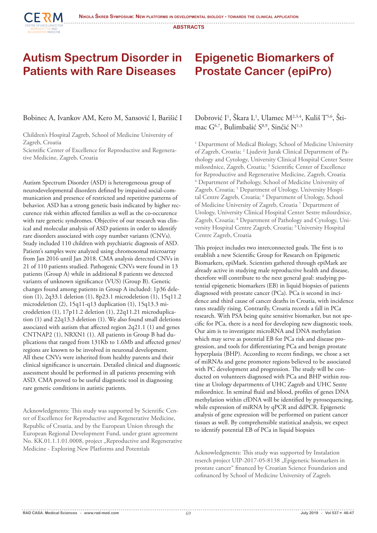

**CERM** 

#### **Epigenetic Biomarkers of Prostate Cancer (epiPro)**

#### Bobinec A, Ivankov AM, Kero M, Sansović I, Barišić I

Children's Hospital Zagreb, School of Medicine University of Zagreb, Croatia

Scientific Center of Excellence for Reproductive and Regenerative Medicine, Zagreb, Croatia

Autism Spectrum Disorder (ASD) is heterogeneous group of neurodevelopmental disorders defined by impaired social-communication and presence of restricted and repetitive patterns of behavior. ASD has a strong genetic basis indicated by higher reccurence risk within affected families as well as the co-occurence with rare genetic syndromes. Objective of our research was clinical and molecular analysis of ASD patients in order to identify rare disorders associated with copy number variants (CNVs). Study included 110 children with psychiatric diagnosis of ASD. Patient's samples were analyzed using chromosomal microarray from Jan 2016 until Jan 2018. CMA analysis detected CNVs in 21 of 110 patients studied. Pathogenic CNVs were found in 13 patients (Group A) while in additional 8 patients we detected variants of unknown significance (VUS) (Group B). Genetic changes found among patients in Group A included: 1p36 deletion (1), 2q33.1 deletion (1), 8p23.1 microdeletion (1), 15q11.2 microdeletion (2), 15q11-q13 duplication (1), 15q13.3 microdeletion (1), 17p11.2 deletion (1), 22q11.21 microduplication (1) and 22q13.3 deletion (1). We also found small deletions associated with autism that affected region 2q21.1 (1) and genes CNTNAP2 (1), NRXN1 (1). All patients in Group B had duplications that ranged from 131Kb to 1.6Mb and affected genes/ regions are known to be involved in neuronal development. All these CNVs were inherited from healthy parents and their clinical significance is uncertain. Detailed clinical and diagnostic assessment should be performed in all patients presenting with ASD. CMA proved to be useful diagnostic tool in diagnosing rare genetic conditions in autistic patients.

Acknowledgments: This study was supported by Scientific Center of Excellence for Reproductive and Regenerative Medicine, Republic of Croatia, and by the European Union through the European Regional Development Fund, under grant agreement No. KK.01.1.1.01.0008, project "Reproductive and Regenerative Medicine - Exploring New Platforms and Potentials

#### Dobrović I<sup>1</sup>, Škara L<sup>1</sup>, Ulamec M<sup>2,3,4</sup>, Kuliš T<sup>5,6</sup>, Štimac G<sup>6,7</sup>, Bulimbašić S<sup>8,9</sup>, Sinčić N<sup>1,3</sup>

<sup>1</sup> Department of Medical Biology, School of Medicine University of Zagreb, Croatia; <sup>2</sup> Ljudevit Jurak Clinical Department of Pathology and Cytology, University Clinical Hospital Center Sestre milosrdnice, Zagreb, Croatia; 3 Scientific Center of Excellence for Reproductive and Regenerative Medicine, Zagreb, Croatia 4 Department of Pathology, School of Medicine University of Zagreb, Croatia; <sup>5</sup> Department of Urology, University Hospital Centre Zagreb, Croatia; <sup>6</sup> Department of Urology, School of Medicine University of Zagreb, Croatia<sup>7</sup> Department of Urology, University Clinical Hospital Center Sestre milosrdnice, Zagreb, Croatia; <sup>8</sup> Department of Pathology and Cytology, University Hospital Centre Zagreb, Croatia; 9 University Hospital Centre Zagreb, Croatia

This project includes two interconnected goals. The first is to establish a new Scientific Group for Research on Epigenetic Biomarkers, epiMark. Scientists gathered through epiMark are already active in studying male reproductive health and disease, therefore will contribute to the next general goal: studying potential epigenetic biomarkers (EB) in liquid biopsies of patients diagnosed with prostate cancer (PCa). PCa is second in incidence and third cause of cancer deaths in Croatia, with incidence rates steadily rising. Contrarily, Croatia records a fall in PCa research. With PSA being quite sensitive biomarker, but not specific for PCa, there is a need for developing new diagnostic tools. Our aim is to investigate microRNA and DNA methylation which may serve as potential EB for PCa risk and disease progression, and tools for differentiating PCa and benign prostate hyperplasia (BHP). According to recent findings, we chose a set of miRNAs and gene promoter regions believed to be associated with PC development and progression. The study will be conducted on volunteers diagnosed with PCa and BHP within routine at Urology departments of UHC Zagreb and UHC Sestre milosrdnice. In seminal fluid and blood, profiles of genes DNA methylation within cfDNA will be identified by pyrosequencing, while expression of miRNA by qPCR and ddPCR. Epigenetic analysis of gene expression will be performed on patient cancer tissues as well. By comprehensible statistical analysis, we expect to identify potential EB of PCa in liquid biopsies

Acknowledgments: This study was supported by Instalation reserch project UIP-2017-05-8138 "Epigenetic biomarkers in prostate cancer" financed by Croatian Science Foundation and cofinanced by School of Medicine University of Zagreb.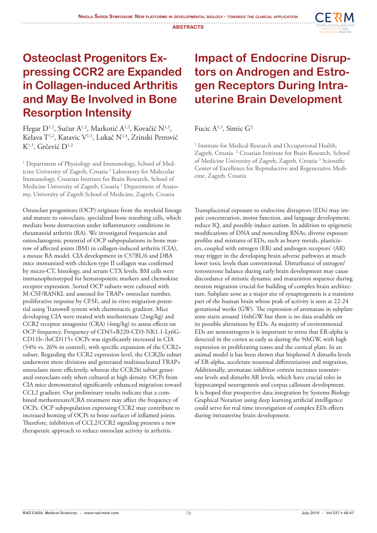

### **Osteoclast Progenitors Expressing CCR2 are Expanded in Collagen-induced Arthritis and May Be Involved in Bone Resorption Intensity**

Flegar D<sup>1,2</sup>, Sućur A<sup>1,2</sup>, Markotić A<sup>1,2</sup>, Kovačić N<sup>1,3</sup>, Kelava T<sup>1,2</sup>, Katavic V<sup>1,3</sup>, Lukač N<sup>1,3</sup>, Zrinski Petrović K<sup>1,3</sup>, Grčević D<sup>1,2</sup>

<sup>1</sup> Department of Physiology and Immunology, School of Medicine University of Zagreb, Croatia<sup>2</sup> Laboratory for Molecular Immunology, Croatian Institute for Brain Research, School of Medicine University of Zagreb, Croatia<sup>3</sup> Department of Anatomy, University of Zagreb School of Medicine, Zagreb, Croatia

Osteoclast progenitors (OCP) originate from the myeloid lineage and mature to osteoclasts, specialized bone resorbing cells, which mediate bone destruction under inflammatory conditions in rheumatoid arthritis (RA). We investigated frequencies and osteoclastogenic potential of OCP subpopulations in bone marrow of affected joints (BM) in collagen-induced arthritis (CIA), a mouse RA model. CIA development in C57BL/6 and DBA mice immunized with chicken type II collagen was confirmed by micro-CT, histology, and serum CTX levels. BM cells were immunophenotyped for hematopoietic markers and chemokine receptor expression. Sorted OCP subsets were cultured with M-CSF/RANKL and assessed for TRAP+ osteoclast number, proliferative response by CFSE, and in vitro migration potential using Transwell system with chemotactic gradient. Mice developing CIA were treated with methotrexate (2mg/kg) and CCR2 receptor antagonist (CRA) (4mg/kg) to assess effects on OCP frequency. Frequency of CD45+B220-CD3-NK1.1-Ly6G-CD11b−/loCD115+ OCPs was significantly increased in CIA (54% vs. 26% in control), with specific expansion of the CCR2+ subset. Regarding the CCR2 expression level, the CCR2lo subset underwent more divisions and generated multinucleated TRAP+ osteoclasts more efficiently, whereas the CCR2hi subset generated osteoclasts only when cultured at high density. OCPs from CIA mice demonstrated significantly enhanced migration toward CCL2 gradient. Our preliminary results indicate that a combined methotrexate/CRA treatment may affect the frequency of OCPs. OCP subpopulation expressing CCR2 may contribute to increased homing of OCPs to bone surfaces of inflamed joints. Therefore, inhibition of CCL2/CCR2 signaling presents a new therapeutic approach to reduce osteoclast activity in arthritis.

### **Impact of Endocrine Disruptors on Androgen and Estrogen Receptors During Intrauterine Brain Development**

Fucic A<sup>1,3</sup>, Simic G<sup>2</sup>

<sup>1</sup> Institute for Medical Research and Occupational Health, Zagreb, Croatia<sup>2</sup> Croatian Institute for Brain Research, School of Medicine University of Zagreb, Zagreb, Croatia<sup>3</sup> Scientific Center of Excellence for Reproductive and Regenerative Medicine, Zagreb, Croatia

Transplacental exposure to endocrine disruptors (EDs) may impair concentration, motor function, and language development, reduce IQ, and possibly induce autism. In addition to epigenetic modifications of DNA and noncoding RNAs, diverse exposure profiles and mixtures of EDs, such as heavy metals, plasticizers, coupled with estrogen (ER) and androgen receptors' (AR) may trigger in the developing brain adverse pathways at much lower toxic levels than conventional. Disturbance of estrogen/ testosterone balance during early brain development may cause discordance of mitotic dynamic and maturation sequence during neuron migration crucial for building of complex brain architecture. Subplate zone as a major site of synaptogenesis is a transient part of the human brain whose peak of activity is seen at 22-24 gestational weeks (GW). The expression of aromatase in subplate zone starts around 16thGW but there is no data available on its possible alterations by EDs. As majority of environmental EDs are xenoestrogens it is important to stress that ER-alpha is detected in the cortex as early as during the 9thGW, with high expression in proliferating zones and the cortical plate. In an animal model is has been shown that bisphenol A disturbs levels of ER-alpha, accelerate neuronal differentiation and migration. Additionally, aromatase inhibitor cotinin increases testosterone levels and disturbs AR levels, which have crucial roles in hippocampal neurogenesis and corpus callosum development. It is hoped that prospective data integration by Systems Biology Graphical Notation using deep learning artificial intelligence could serve for real time investigation of complex EDs effects during intrauterine brain development.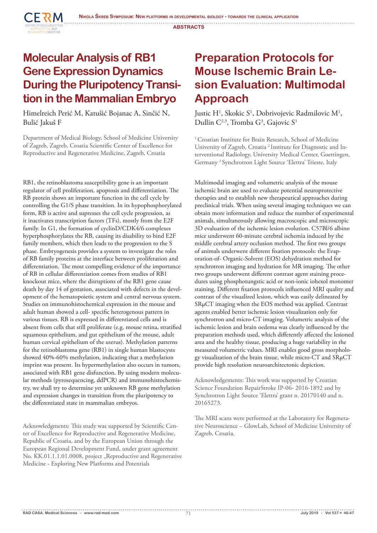

#### **Molecular Analysis of RB1 Gene Expression Dynamics During the Pluripotency Transition in the Mammalian Embryo**

Himelreich Perić M, Katušić Bojanac A, Sinčić N, Bulić Jakuš F

Department of Medical Biology, School of Medicine University of Zagreb, Zagreb, Croatia Scientific Center of Excellence for Reproductive and Regenerative Medicine, Zagreb, Croatia

RB1, the retinoblastoma susceptibility gene is an important regulator of cell proliferation, apoptosis and differentiation. The RB protein shows an important function in the cell cycle by controlling the G1/S phase transition. In its hypophosphorylated form, RB is active and supresses the cell cycle progression, as it inactivates transcription factors (TFs), mostly from the E2F family. In G1, the formation of cyclinD/CDK4/6 complexes hyperphosphorylates the RB, causing its disability to bind E2F family members, which then leads to the progression to the S phase. Embryogenesis provides a system to investigate the roles of RB family proteins at the interface between proliferation and differentiation. The most compelling evidence of the importance of RB in cellular differentiation comes from studies of RB1 knockout mice, where the disruptions of the RB1 gene cause death by day 14 of gestation, associated with defects in the development of the hematopoietic system and central nervous system. Studies on immunohistochemical expression in the mouse and adult human showed a cell- specific heterogenous pattern in various tissues. RB is expressed in differentiated cells and is absent from cells that still proliferate (e.g. mouse retina, stratified squamous epithelium, and gut epithelium of the mouse, adult human cervical epithelium of the uterus). Methylation patterns for the retinoblastoma gene (RB1) in single human blastocysts showed 40%-60% methylation, indicating that a methylation imprint was present. Its hypermethylation also occurs in tumors, associated with RB1 gene disfunction. By using modern molecular methods (pyrosequencing, ddPCR) and immunohistochemistry, we shall try to determine yet unknown RB gene methylation and expression changes in transition from the pluripotency to the differentiated state in mammalian embryos.

Acknowledgments: This study was supported by Scientific Center of Excellence for Reproductive and Regenerative Medicine, Republic of Croatia, and by the European Union through the European Regional Development Fund, under grant agreement No. KK.01.1.1.01.0008, project "Reproductive and Regenerative Medicine - Exploring New Platforms and Potentials

### **Preparation Protocols for Mouse Ischemic Brain Lesion Evaluation: Multimodal Approach**

Justic H<sup>1</sup>, Skokic S<sup>1</sup>, Dobrivojevic Radmilovic M<sup>1</sup>, Dullin  $C^{2,3}$ , Tromba  $G^3$ , Gajovic  $S^1$ 

<sup>1</sup> Croatian Institute for Brain Research, School of Medicine University of Zagreb, Croatia 2 Institute for Diagnostic and Interventional Radiology, University Medical Center, Goettingen, Germany 3 Synchrotron Light Source 'Elettra' Trieste, Italy

Multimodal imaging and volumetric analysis of the mouse ischemic brain are used to evaluate potential neuroprotective therapies and to establish new therapeutical approaches during preclinical trials. When using several imaging techniques we can obtain more information and reduce the number of experimental animals, simultaneously allowing macroscopic and microscopic 3D evaluation of the ischemic lesion evolution. C57Bl/6 albino mice underwent 60-minute cerebral ischemia induced by the middle cerebral artery occlusion method. The first two groups of animals underwent different fixation protocols: the Evaporation-of- Organic-Solvent (EOS) dehydration method for synchrotron imaging and hydration for MR imaging. The other two groups underwent different contrast agent staining procedures using phosphotungstic acid or non-ionic iohexol monomer staining. Different fixation protocols influenced MRI quality and contrast of the visualized lesion, which was easily delineated by SRμCT imaging when the EOS method was applied. Contrast agents enabled better ischemic lesion visualization only for synchrotron and micro-CT imaging. Volumetric analysis of the ischemic lesion and brain oedema was clearly influenced by the preparation methods used, which differently affected the lesioned area and the healthy tissue, producing a huge variability in the measured volumetric values. MRI enables good gross morphology visualization of the brain tissue, while micro-CT and SRμCT provide high resolution neuroarchitectonic depiction.

Acknowledgements: This work was supported by Croatian Science Foundation RepairStroke IP-06- 2016-1892 and by Synchrotron Light Source 'Elettra' grant n. 20170140 and n. 20165273.

The MRI scans were performed at the Laboratory for Regenerative Neuroscience – GlowLab, School of Medicine University of Zagreb, Croatia.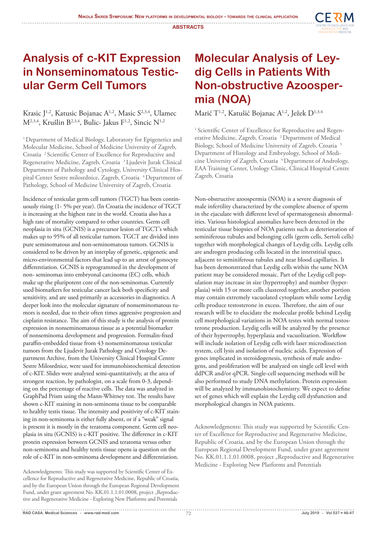

#### **Analysis of c-KIT Expression in Nonseminomatous Testicular Germ Cell Tumors**

#### Krasic J<sup>1,2</sup>, Katusic Bojanac A<sup>1,2</sup>, Masic S<sup>2,3,4</sup>, Ulamec  $M^{2,3,4}$ , Krušlin B<sup>2,3,4</sup>, Bulic- Jakus F<sup>1,2</sup>, Sincic N<sup>1,2</sup>

<sup>1</sup> Department of Medical Biology, Laboratory for Epigenetics and Molecular Medicine, School of Medicine University of Zagreb, Croatia 2 Scientific Center of Excellence for Reproductive and Regenerative Medicine, Zagreb, Croatia 3 Ljudevit Jurak Clinical Department of Pathology and Cytology, University Clinical Hospital Center Sestre milosrdnice, Zagreb, Croatia <sup>4</sup> Department of Pathology, School of Medicine University of Zagreb, Croatia

Incidence of testicular germ cell tumors (TGCT) has been continuously rising (1- 5% per year). (In Croatia the incidence of TGCT is increasing at the highest rate in the world. Croatia also has a high rate of mortality compared to other countries. Germ cell neoplasia in situ (GCNIS) is a precursor lesion of TGCT's which makes up to 95% of all testicular tumors. TGCT are divided into pure seminomatous and non-seminomatous tumors. GCNIS is considered to be driven by an interplay of genetic, epigenetic and micro-environmental factors that lead up to an arrest of gonocyte differentiation. GCNIS is reprogrammed in the development of non- seminomas into embryonal carcinoma (EC) cells, which make up the pluripotent core of the non-seminomas. Currently used biomarkers for testicular cancer lack both specificity and sensitivity, and are used primarily as accessories in diagnostics. A deeper look into the molecular signature of nonseminomatous tumors is needed, due to their often times aggressive progression and cisplatin resistance. The aim of this study is the analysis of protein expression in nonseminomatous tissue as a potential biomarker of nonseminoma development and progression. Formalin-fixed paraffin-embedded tissue from 43 nonseminomatous testicular tumors from the Ljudevit Jurak Pathology and Cytology Department Archive, from the University Clinical Hospital Centre Sestre Milosrdnice, were used for immunohistochemical detection of c-KIT. Slides were analyzed semi-quantitatively, at the area of strongest reaction, by pathologist, on a scale from 0-3, depending on the percentage of reactive cells. The data was analyzed in GraphPad Prism using the Mann-Whitney test. The results have shown c-KIT staining in non-seminoma tissue to be comparable to healthy testis tissue. The intensity and positivity of c-KIT staining in non-seminoma is either fully absent, or if a "weak" signal is present it is mostly in the teratoma component. Germ cell neoplasia in situ (GCNIS) is c-KIT positive. The difference in c-KIT protein expression between GCNIS and teratoma versus other non-seminoma and healthy testis tissue opens ia question on the role of c-KIT in non-seminoma development and differentiation.

### **Molecular Analysis of Leydig Cells in Patients With Non-obstructive Azoospermia (NOA)**

Marić T<sup>1,2</sup>, Katušić Bojanac A<sup>1,2</sup>, Ježek D<sup>1,3,4</sup>

<sup>1</sup> Scientific Center of Excellence for Reproductive and Regenerative Medicine, Zagreb, Croatia<sup>2</sup> Department of Medical Biology, School of Medicine University of Zagreb, Croatia 3 Department of Histology and Embryology, School of Medicine University of Zagreb, Croatia <sup>4</sup> Department of Andrology, EAA Training Center, Urology Clinic, Clinical Hospital Centre Zagreb, Croatia

Non-obstructive azoospermia (NOA) is a severe diagnosis of male infertility characterized by the complete absence of sperm in the ejaculate with different level of spermatogenesis abnormalities. Various histological anomalies have been detected in the testicular tissue biopsies of NOA patients such as deterioration of seminiferous tubules and belonging cells (germ cells, Sertoli cells) together with morphological changes of Leydig cells. Leydig cells are androgen producing cells located in the interstitial space, adjacent to seminiferous tubules and near blood capillaries. It has been demonstrated that Leydig cells within the same NOA patient may be considered mosaic. Part of the Leydig cell population may increase in size (hypertrophy) and number (hyperplasia) with 15 or more cells clustered together, another portion may contain extremely vacuolated cytoplasm while some Leydig cells produce testosterone in excess. Therefore, the aim of our research will be to elucidate the molecular profile behind Leydig cell morphological variations in NOA testes with normal testosterone production. Leydig cells will be analyzed by the presence of their hypertrophy, hyperplasia and vacuolization. Workflow will include isolation of Leydig cells with laser microdissection system, cell lysis and isolation of nucleic acids. Expression of genes implicated in steroidogenesis, synthesis of male androgens, and proliferation will be analyzed on single cell level with ddPCR and/or qPCR. Single-cell sequencing methods will be also performed to study DNA methylation. Protein expression will be analyzed by immunohistochemistry. We expect to define set of genes which will explain the Leydig cell dysfunction and morphological changes in NOA patients.

Acknowledgments: This study was supported by Scientific Center of Excellence for Reproductive and Regenerative Medicine, Republic of Croatia, and by the European Union through the European Regional Development Fund, under grant agreement No. KK.01.1.1.01.0008, project "Reproductive and Regenerative Medicine - Exploring New Platforms and Potentials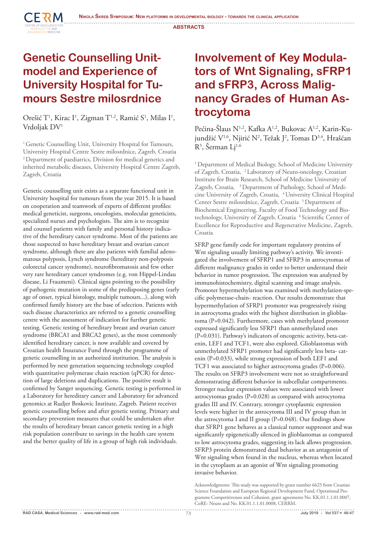

#### **Genetic Counselling Unitmodel and Experience of University Hospital for Tumours Sestre milosrdnice**

Orešić T<sup>1</sup>, Kirac I<sup>1</sup>, Zigman T<sup>1,2</sup>, Ramić S<sup>1</sup>, Milas I<sup>1</sup>, Vrdoljak DV1

<sup>1</sup> Genetic Counselling Unit, University Hospital for Tumours, University Hospital Centre Sestre milosrdnice, Zagreb, Croatia 2 Department of paediatrics, Division for medical genetics and inherited metabolic diseases, University Hospital Centre Zagreb, Zagreb, Croatia

Genetic counselling unit exists as a separate functional unit in University hospital for tumours from the year 2015. It is based on cooperation and teamwork of experts of different profiles: medical geneticist, surgeons, oncologists, molecular geneticists, specialized nurses and psychologists. The aim is to recognize and counsel patients with family and personal history indicative of the hereditary cancer syndrome. Most of the patients are those suspected to have hereditary breast and ovarian cancer syndrome, although there are also patients with familial adenomatous polyposis, Lynch syndrome (hereditary non-polyposis colorectal cancer syndrome), neurofibromatosis and few other very rare hereditary cancer syndromes (e.g. von Hippel-Lindau disease, Li Fraumeni). Clinical signs pointing to the possibility of pathogenic mutation in some of the predisposing genes (early age of onset, typical histology, multiple tumours...), along with confirmed family history are the base of selection. Patients with such disease characteristics are referred to a genetic counselling centre with the assessment of indication for further genetic testing. Genetic testing of hereditary breast and ovarian cancer syndrome (BRCA1 and BRCA2 genes), as the most commonly identified hereditary cancer, is now available and covered by Croatian health Insurance Fund through the programme of genetic counselling in an authorized institution. The analysis is performed by next generation sequencing technology coupled with quantitative polymerase chain reaction (qPCR) for detection of large deletions and duplications. The positive result is confirmed by Sanger sequencing. Genetic testing is performed in a Laboratory for hereditary cancer and Laboratory for advanced genomics at Rudjer Boskovic Institute, Zagreb. Patient receives genetic counselling before and after genetic testing. Primary and secondary prevention measures that could be undertaken after the results of hereditary breast cancer genetic testing in a high risk population contribute to savings in the health care system and the better quality of life in a group of high risk individuals.

### **Involvement of Key Modulators of Wnt Signaling, sFRP1 and sFRP3, Across Malignancy Grades of Human Astrocytoma**

Pećina-Šlaus N<sup>1,2</sup>, Kafka A<sup>1,2</sup>, Bukovac A<sup>1,2</sup>, Karin-Kujundžić V½, Njirić N², Težak J², Tomas D¾, Hrašćan R<sup>5</sup>, Šerman Lj<sup>1,6</sup>

<sup>1</sup> Department of Medical Biology, School of Medicine University of Zagreb, Croatia, 2 Laboratory of Neuro-oncology, Croatian Institute for Brain Research, School of Medicine University of Zagreb, Croatia, <sup>3</sup> Department of Pathology, School of Medicine University of Zagreb, Croatia, <sup>4</sup> University Clinical Hospital Center Sestre milosrdnice, Zagreb, Croatia<sup>5</sup> Department of Biochemical Engineering, Faculty of Food Technology and Biotechnology, University of Zagreb, Croatia <sup>6</sup> Scientific Center of Excellence for Reproductive and Regenerative Medicine, Zagreb, Croatia

SFRP gene family code for important regulatory proteins of Wnt signaling usually limiting pathway's activity. We investigated the involvement of SFRP1 and SFRP3 in astrocytomas of different malignancy grades in order to better understand their behavior in tumor progression. The expression was analyzed by immunohistochemistry, digital scanning and image analysis. Promoter hypermethylation was examined with methylation-specific polymerase-chain- reaction. Our results demonstrate that hypermethylation of SFRP1 promoter was progressively rising in astrocytoma grades with the highest distribution in glioblastoma (P=0.042). Furthermore, cases with methylated promoter expressed significantly less SFRP1 than unmethylated ones (P=0.031). Pathway's indicators of oncogenic activity, beta-catenin, LEF1 and TCF1, were also explored. Glioblastomas with unmethylated SFRP1 promoter had significantly less beta- catenin (P=0.033), while strong expression of both LEF1 and TCF1 was associated to higher astrocytoma grades (P=0.006). The results on SFRP3 involvement were not so straightforward demonstrating different behavior in subcellular compartments. Stronger nuclear expression values were associated with lower astrocytomas grades (P=0.028) as compared with astrocytoma grades III and IV. Contrary, stronger cytoplasmic expression levels were higher in the astrocytoma III and IV group than in the astrocytoma I and II group (P=0.048). Our findings show that SFRP1 gene behaves as a classical tumor suppressor and was significantly epigenetically silenced in glioblastomas as compared to low astrocytoma grades, suggesting its lack allows progression. SFRP3 protein demonstrated dual behavior as an antagonist of Wnt signaling when found in the nucleus, whereas when located in the cytoplasm as an agonist of Wnt signaling promoting invasive behavior.

Acknowledgments: This study was supported by grant number 6625 from Croatian Science Foundation and European Regional Development Fund, Operational Programme Competitiveness and Cohesion, grant agreements No. KK.01.1.1.01.0007, CoRE- Neuro and No. KK.01.1.1.01.0008, CERRM.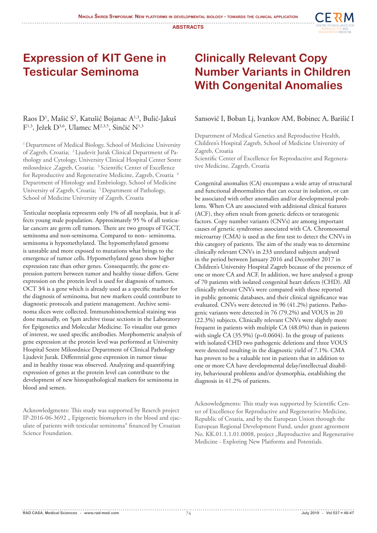

#### **Expression of KIT Gene in Testicular Seminoma**

#### Raos D<sup>1</sup>, Mašić S<sup>2</sup>, Katušić Bojanac A<sup>1,3</sup>, Bulić-Jakuš  $F^{1,3}$ , Ježek D<sup>3,6</sup>, Ulamec M<sup>2,3,5</sup>, Sinčić N<sup>1,3</sup>

<sup>1</sup> Department of Medical Biology, School of Medicine University of Zagreb, Croatia; 2 Ljudevit Jurak Clinical Department of Pathology and Cytology, University Clinical Hospital Center Sestre milosrdnice ,Zagreb, Croatia; 3 Scientific Center of Excellence for Reproductive and Regenerative Medicine, Zagreb, Croatia 4 Department of Histology and Embriology, School of Medicine University of Zagreb, Croatia; <sup>5</sup> Department of Pathology, School of Medicine University of Zagreb, Croatia

Testicular neoplasia represents only 1% of all neoplasia, but it affects young male population. Approximately 95 % of all testicular cancers are germ cell tumors. There are two groups of TGCT, seminoma and non-seminoma. Compared to non– seminoma, seminoma is hypomethylated. The hypomethylated genome is unstable and more exposed to mutations what brings to the emergence of tumor cells. Hypomethylated genes show higher expression rate than other genes. Consequently, the gene expression pattern between tumor and healthy tissue differs. Gene expression on the protein level is used for diagnosis of tumors. OCT 3⁄4 is a gene which is already used as a specific marker for the diagnosis of seminoma, but new markers could contribute to diagnostic protocols and patient management. Archive seminoma slices were collected. Immunohistochemical staining was done manually, on 5μm archive tissue sections in the Laboratory for Epigenetics and Molecular Medicine. To visualize our genes of interest, we used specific antibodies. Morphometric analysis of gene expression at the protein level was performed at University Hospital Sestre Milosrdnice Department of Clinical Pathology Ljudevit Jurak. Differential gene expression in tumor tissue and in healthy tissue was observed. Analyzing and quantifying expression of genes at the protein level can contribute to the development of new histopathological markers for seminoma in blood and semen.

Acknowledgments: This study was supported by Reserch project IP-2016-06-3692 " Epigenetic biomarkers in the blood and ejaculate of patients with testicular seminoma" financed by Croatian Science Foundation.

### **Clinically Relevant Copy Number Variants in Children With Congenital Anomalies**

#### Sansović I, Boban Lj, Ivankov AM, Bobinec A, Barišić I

Department of Medical Genetics and Reproductive Health, Children's Hospital Zagreb, School of Medicine University of Zagreb, Croatia

Scientific Center of Excellence for Reproductive and Regenerative Medicine, Zagreb, Croatia

Congenital anomalies (CA) encompass a wide array of structural and functional abnormalities that can occur in isolation, or can be associated with other anomalies and/or developmental problems. When CA are associated with additional clinical features (ACF), they often result from genetic defects or teratogenic factors. Copy number variants (CNVs) are among important causes of genetic syndromes associated with CA. Chromosomal microarray (CMA) is used as the first test to detect the CNVs in this category of patients. The aim of the study was to determine clinically relevant CNVs in 233 unrelated subjects analysed in the period between January 2016 and December 2017 in Children's University Hospital Zagreb because of the presence of one or more CA and ACF. In addition, we have analysed a group of 70 patients with isolated congenital heart defects (CHD). All clinically relevant CNVs were compared with those reported in public genomic databases, and their clinical significance was evaluated. CNVs were detected in 96 (41.2%) patients. Pathogenic variants were detected in 76 (79.2%) and VOUS in 20 (22.3%) subjects. Clinically relevant CNVs were slightly more frequent in patients with multiple CA (48.0%) than in patients with single CA (35.9%) (p=0.0604). In the group of patients with isolated CHD two pathogenic deletions and three VOUS were detected resulting in the diagnostic yield of 7.1%. CMA has proven to be a valuable test in patients that in addition to one or more CA have developmental delay/intellectual disability, behavioural problems and/or dysmorphia, establishing the diagnosis in 41.2% of patients.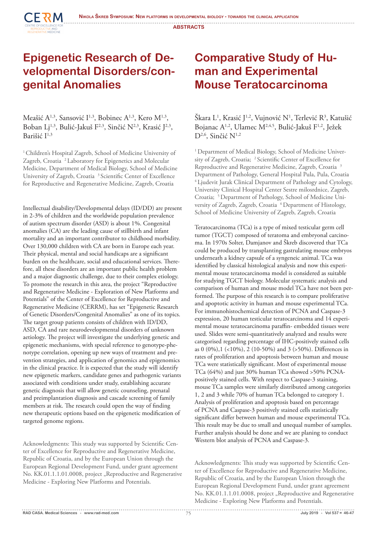

#### **Epigenetic Research of Developmental Disorders/congenital Anomalies**

Meašić  $A^{1,3}$ , Sansović I<sup>1,3</sup>, Bobinec  $A^{1,3}$ , Kero M<sup>1,3</sup>, Boban Lj<sup>1,3</sup>, Bulić-Jakuš F<sup>2,3</sup>, Sinčić N<sup>2,3</sup>, Krasić J<sup>2,3</sup>, Barišić  $I^{1,3}$ 

<sup>1</sup> Children's Hospital Zagreb, School of Medicine University of Zagreb, Croatia<sup>2</sup> Laboratory for Epigenetics and Molecular Medicine, Department of Medical Biology, School of Medicine University of Zagreb, Croatia 3 Scientific Center of Excellence for Reproductive and Regenerative Medicine, Zagreb, Croatia

Intellectual disability/Developmental delays (ID/DD) are present in 2-3% of children and the worldwide population prevalence of autism spectrum disorder (ASD) is about 1%. Congenital anomalies (CA) are the leading cause of stillbirth and infant mortality and an important contributor to childhood morbidity. Over 130,000 children with CA are born in Europe each year. Their physical, mental and social handicaps are a significant burden on the healthcare, social and educational services. Therefore, all these disorders are an important public health problem and a major diagnostic challenge, due to their complex etiology. To promote the research in this area, the project "Reproductive and Regenerative Medicine - Exploration of New Platforms and Potentials" of the Center of Excellence for Reproductive and Regenerative Medicine (CERRM), has set "Epigenetic Research of Genetic Disorders/Congenital Anomalies" as one of its topics. The target group patients consists of children with ID/DD, ASD, CA and rare neurodevelopmental disorders of unknown aetiology. The project will investigate the underlying genetic and epigenetic mechanisms, with special reference to genotype-phenotype correlation, opening up new ways of treatment and prevention strategies, and application of genomics and epigenomics in the clinical practice. It is expected that the study will identify new epigenetic markers, candidate genes and pathogenic variants associated with conditions under study, establishing accurate genetic diagnosis that will allow genetic counseling, prenatal and preimplantation diagnosis and cascade screening of family members at risk. The research could open the way of finding new therapeutic options based on the epigenetic modification of targeted genome regions.

Acknowledgments: This study was supported by Scientific Center of Excellence for Reproductive and Regenerative Medicine, Republic of Croatia, and by the European Union through the European Regional Development Fund, under grant agreement No. KK.01.1.1.01.0008, project "Reproductive and Regenerative Medicine - Exploring New Platforms and Potentials.

### **Comparative Study of Human and Experimental Mouse Teratocarcinoma**

Škara L<sup>1</sup>, Krasić J<sup>1,2</sup>, Vujnović N<sup>1</sup>, Terlević R<sup>3</sup>, Katušić Bojanac A<sup>1,2</sup>, Ulamec M<sup>2,4,5</sup>, Bulić-Jakuš F<sup>1,2</sup>, Ježek  $D^{2,6}$ , Sinčić N<sup>1,2</sup>

<sup>1</sup> Department of Medical Biology, School of Medicine University of Zagreb, Croatia; <sup>2</sup> Scientific Center of Excellence for Reproductive and Regenerative Medicine, Zagreb, Croatia 3 Department of Pathology, General Hospital Pula, Pula, Croatia 4 Ljudevit Jurak Clinical Department of Pathology and Cytology, University Clinical Hospital Center Sestre milosrdnice, Zagreb, Croatia; 5 Department of Pathology, School of Medicine University of Zagreb, Zagreb, Croatia<sup>6</sup> Department of Histology, School of Medicine University of Zagreb, Zagreb, Croatia

Teratocarcinoma (TCa) is a type of mixed testicular germ cell tumor (TGCT) composed of teratoma and embryonal carcinoma. In 1970s Solter, Damjanov and Škreb discovered that TCa could be produced by transplanting gastrulating mouse embryos underneath a kidney capsule of a syngeneic animal. TCa was identified by classical histological analysis and now this experimental mouse teratocarcinoma model is considered as suitable for studying TGCT biology. Molecular systematic analysis and comparison of human and mouse model TCa have not been performed. The purpose of this research is to compare proliferative and apoptotic activity in human and mouse experimental TCa. For immunohistochemical detection of PCNA and Caspase-3 expression, 20 human testicular teratocarcinoma and 14 experimental mouse teratocarcinoma paraffin- embedded tissues were used. Slides were semi-quantitatively analyzed and results were categorised regarding percentage of IHC-positively stained cells as 0 (0%),1 (<10%), 2 (10-50%) and 3 (>50%). Differences in rates of proliferation and apoptosis between human and mouse TCa were statistically significant. Most of experimental mouse TCa (64%) and just 30% human TCa showed >50% PCNApositively stained cells. With respect to Caspase-3 staining, mouse TCa samples were similarly distributed among categories 1, 2 and 3 while 70% of human TCa belonged to category 1. Analysis of proliferation and apoptosis based on percentage of PCNA and Caspase-3 positively stained cells statistically significant differ between human and mouse experimental TCa. This result may be due to small and unequal number of samples. Further analysis should be done and we are planing to conduct Western blot analysis of PCNA and Caspase-3.